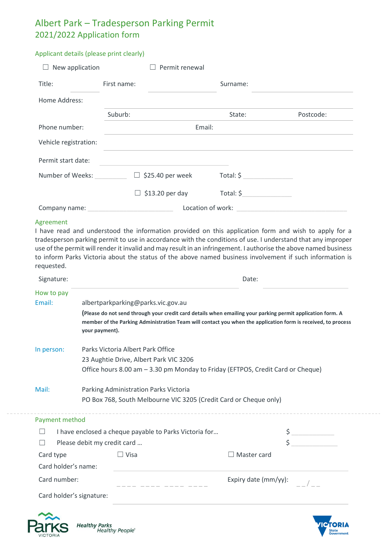## Albert Park – Tradesperson Parking Permit 2021/2022 Application form

## Applicant details (please print clearly)

| New application       |                   | Permit renewal<br>$\mathbf{L}$ |                 |           |  |
|-----------------------|-------------------|--------------------------------|-----------------|-----------|--|
| Title:                | First name:       |                                | Surname:        |           |  |
| Home Address:         |                   |                                |                 |           |  |
|                       | Suburb:           |                                | State:          | Postcode: |  |
| Phone number:         | Email:            |                                |                 |           |  |
| Vehicle registration: |                   |                                |                 |           |  |
| Permit start date:    |                   |                                |                 |           |  |
| Number of Weeks:      | Ш                 | \$25.40 per week               | $Total: $ \_\_$ |           |  |
|                       |                   | $\Box$ \$13.20 per day         | Total: \$       |           |  |
| Company name:         | Location of work: |                                |                 |           |  |

## Agreement

I have read and understood the information provided on this application form and wish to apply for a tradesperson parking permit to use in accordance with the conditions of use. I understand that any improper use of the permit will render it invalid and may result in an infringement. I authorise the above named business to inform Parks Victoria about the status of the above named business involvement if such information is requested.

| Signature:                  |                                                                                 | Date:                                                                                                                                                                                                                      |  |  |  |  |
|-----------------------------|---------------------------------------------------------------------------------|----------------------------------------------------------------------------------------------------------------------------------------------------------------------------------------------------------------------------|--|--|--|--|
| How to pay                  |                                                                                 |                                                                                                                                                                                                                            |  |  |  |  |
| Email:                      | albertparkparking@parks.vic.gov.au                                              | (Please do not send through your credit card details when emailing your parking permit application form. A<br>member of the Parking Administration Team will contact you when the application form is received, to process |  |  |  |  |
|                             | your payment).                                                                  |                                                                                                                                                                                                                            |  |  |  |  |
| In person:                  | Parks Victoria Albert Park Office                                               |                                                                                                                                                                                                                            |  |  |  |  |
|                             | 23 Aughtie Drive, Albert Park VIC 3206                                          |                                                                                                                                                                                                                            |  |  |  |  |
|                             | Office hours 8.00 am - 3.30 pm Monday to Friday (EFTPOS, Credit Card or Cheque) |                                                                                                                                                                                                                            |  |  |  |  |
| Mail:                       | Parking Administration Parks Victoria                                           |                                                                                                                                                                                                                            |  |  |  |  |
|                             | PO Box 768, South Melbourne VIC 3205 (Credit Card or Cheque only)               |                                                                                                                                                                                                                            |  |  |  |  |
| Payment method              |                                                                                 |                                                                                                                                                                                                                            |  |  |  |  |
|                             | I have enclosed a cheque payable to Parks Victoria for                          |                                                                                                                                                                                                                            |  |  |  |  |
| Please debit my credit card |                                                                                 |                                                                                                                                                                                                                            |  |  |  |  |
| Card type                   | $\Box$ Visa                                                                     | Master card                                                                                                                                                                                                                |  |  |  |  |
| Card holder's name:         |                                                                                 |                                                                                                                                                                                                                            |  |  |  |  |
| Card number:                |                                                                                 | Expiry date (mm/yy):                                                                                                                                                                                                       |  |  |  |  |
| Card holder's signature:    |                                                                                 |                                                                                                                                                                                                                            |  |  |  |  |
|                             |                                                                                 |                                                                                                                                                                                                                            |  |  |  |  |



Healthy Parks<br>"Healthy People